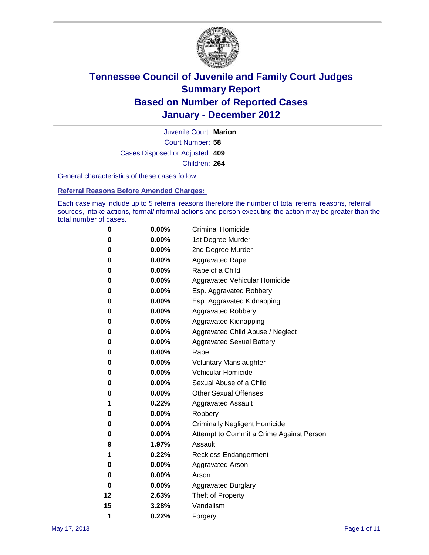

Court Number: **58** Juvenile Court: **Marion** Cases Disposed or Adjusted: **409** Children: **264**

General characteristics of these cases follow:

**Referral Reasons Before Amended Charges:** 

Each case may include up to 5 referral reasons therefore the number of total referral reasons, referral sources, intake actions, formal/informal actions and person executing the action may be greater than the total number of cases.

| 0  | 0.00%    | <b>Criminal Homicide</b>                 |
|----|----------|------------------------------------------|
| 0  | 0.00%    | 1st Degree Murder                        |
| 0  | 0.00%    | 2nd Degree Murder                        |
| 0  | 0.00%    | <b>Aggravated Rape</b>                   |
| 0  | 0.00%    | Rape of a Child                          |
| 0  | 0.00%    | Aggravated Vehicular Homicide            |
| 0  | 0.00%    | Esp. Aggravated Robbery                  |
| 0  | 0.00%    | Esp. Aggravated Kidnapping               |
| 0  | 0.00%    | <b>Aggravated Robbery</b>                |
| 0  | 0.00%    | Aggravated Kidnapping                    |
| 0  | 0.00%    | Aggravated Child Abuse / Neglect         |
| 0  | $0.00\%$ | <b>Aggravated Sexual Battery</b>         |
| 0  | 0.00%    | Rape                                     |
| 0  | 0.00%    | <b>Voluntary Manslaughter</b>            |
| 0  | 0.00%    | Vehicular Homicide                       |
| 0  | 0.00%    | Sexual Abuse of a Child                  |
| 0  | 0.00%    | <b>Other Sexual Offenses</b>             |
| 1  | 0.22%    | <b>Aggravated Assault</b>                |
| 0  | $0.00\%$ | Robbery                                  |
| 0  | 0.00%    | <b>Criminally Negligent Homicide</b>     |
| 0  | 0.00%    | Attempt to Commit a Crime Against Person |
| 9  | 1.97%    | Assault                                  |
| 1  | 0.22%    | <b>Reckless Endangerment</b>             |
| 0  | 0.00%    | <b>Aggravated Arson</b>                  |
| 0  | 0.00%    | Arson                                    |
| 0  | 0.00%    | <b>Aggravated Burglary</b>               |
| 12 | 2.63%    | Theft of Property                        |
| 15 | 3.28%    | Vandalism                                |
| 1  | 0.22%    | Forgery                                  |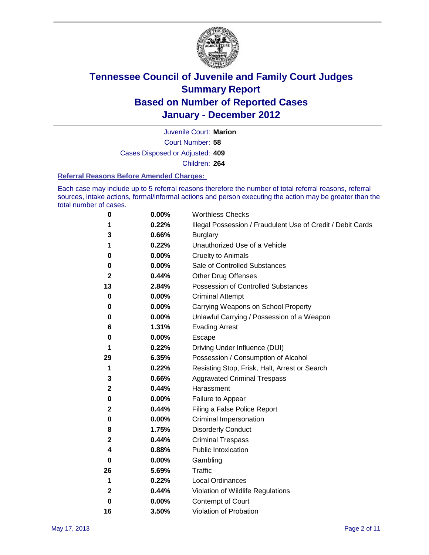

Court Number: **58** Juvenile Court: **Marion** Cases Disposed or Adjusted: **409** Children: **264**

#### **Referral Reasons Before Amended Charges:**

Each case may include up to 5 referral reasons therefore the number of total referral reasons, referral sources, intake actions, formal/informal actions and person executing the action may be greater than the total number of cases.

| 0  | 0.00% | <b>Worthless Checks</b>                                     |
|----|-------|-------------------------------------------------------------|
| 1  | 0.22% | Illegal Possession / Fraudulent Use of Credit / Debit Cards |
| 3  | 0.66% | <b>Burglary</b>                                             |
| 1  | 0.22% | Unauthorized Use of a Vehicle                               |
| 0  | 0.00% | <b>Cruelty to Animals</b>                                   |
| 0  | 0.00% | Sale of Controlled Substances                               |
| 2  | 0.44% | <b>Other Drug Offenses</b>                                  |
| 13 | 2.84% | Possession of Controlled Substances                         |
| 0  | 0.00% | <b>Criminal Attempt</b>                                     |
| 0  | 0.00% | Carrying Weapons on School Property                         |
| 0  | 0.00% | Unlawful Carrying / Possession of a Weapon                  |
| 6  | 1.31% | <b>Evading Arrest</b>                                       |
| 0  | 0.00% | Escape                                                      |
| 1  | 0.22% | Driving Under Influence (DUI)                               |
| 29 | 6.35% | Possession / Consumption of Alcohol                         |
| 1  | 0.22% | Resisting Stop, Frisk, Halt, Arrest or Search               |
| 3  | 0.66% | <b>Aggravated Criminal Trespass</b>                         |
| 2  | 0.44% | Harassment                                                  |
| 0  | 0.00% | Failure to Appear                                           |
| 2  | 0.44% | Filing a False Police Report                                |
| 0  | 0.00% | Criminal Impersonation                                      |
| 8  | 1.75% | <b>Disorderly Conduct</b>                                   |
| 2  | 0.44% | <b>Criminal Trespass</b>                                    |
| 4  | 0.88% | Public Intoxication                                         |
| 0  | 0.00% | Gambling                                                    |
| 26 | 5.69% | Traffic                                                     |
| 1  | 0.22% | <b>Local Ordinances</b>                                     |
| 2  | 0.44% | Violation of Wildlife Regulations                           |
| 0  | 0.00% | Contempt of Court                                           |
| 16 | 3.50% | Violation of Probation                                      |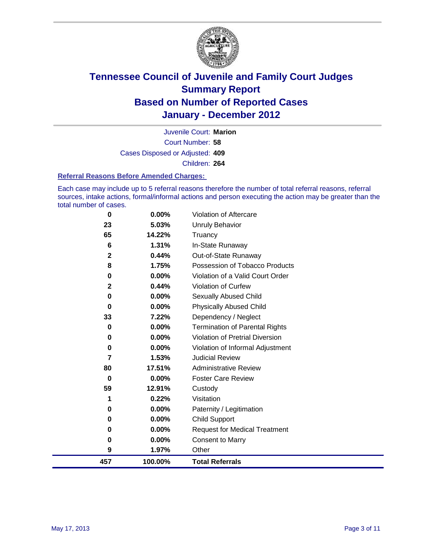

Court Number: **58** Juvenile Court: **Marion** Cases Disposed or Adjusted: **409** Children: **264**

#### **Referral Reasons Before Amended Charges:**

Each case may include up to 5 referral reasons therefore the number of total referral reasons, referral sources, intake actions, formal/informal actions and person executing the action may be greater than the total number of cases.

| 0            | 0.00%    | Violation of Aftercare                 |
|--------------|----------|----------------------------------------|
| 23           | 5.03%    | Unruly Behavior                        |
| 65           | 14.22%   | Truancy                                |
| 6            | 1.31%    | In-State Runaway                       |
| $\mathbf{2}$ | 0.44%    | Out-of-State Runaway                   |
| 8            | 1.75%    | Possession of Tobacco Products         |
| 0            | 0.00%    | Violation of a Valid Court Order       |
| $\mathbf 2$  | 0.44%    | Violation of Curfew                    |
| 0            | 0.00%    | Sexually Abused Child                  |
| 0            | 0.00%    | <b>Physically Abused Child</b>         |
| 33           | 7.22%    | Dependency / Neglect                   |
| 0            | 0.00%    | <b>Termination of Parental Rights</b>  |
| 0            | 0.00%    | <b>Violation of Pretrial Diversion</b> |
| 0            | 0.00%    | Violation of Informal Adjustment       |
| 7            | 1.53%    | <b>Judicial Review</b>                 |
| 80           | 17.51%   | <b>Administrative Review</b>           |
| $\bf{0}$     | $0.00\%$ | <b>Foster Care Review</b>              |
| 59           | 12.91%   | Custody                                |
| 1            | 0.22%    | Visitation                             |
| 0            | 0.00%    | Paternity / Legitimation               |
| 0            | 0.00%    | <b>Child Support</b>                   |
| 0            | 0.00%    | <b>Request for Medical Treatment</b>   |
| 0            | 0.00%    | <b>Consent to Marry</b>                |
| 9            | 1.97%    | Other                                  |
| 457          | 100.00%  | <b>Total Referrals</b>                 |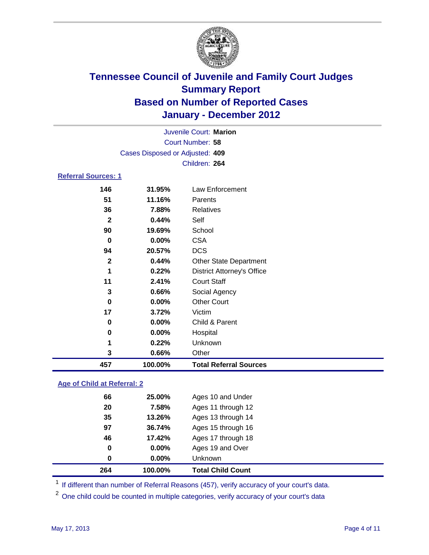

|                                 |          | Juvenile Court: Marion            |  |  |
|---------------------------------|----------|-----------------------------------|--|--|
| Court Number: 58                |          |                                   |  |  |
| Cases Disposed or Adjusted: 409 |          |                                   |  |  |
|                                 |          | Children: 264                     |  |  |
| <b>Referral Sources: 1</b>      |          |                                   |  |  |
| 146                             | 31.95%   | Law Enforcement                   |  |  |
| 51                              | 11.16%   | Parents                           |  |  |
| 36                              | 7.88%    | <b>Relatives</b>                  |  |  |
| $\mathbf{2}$                    | 0.44%    | Self                              |  |  |
| 90                              | 19.69%   | School                            |  |  |
| $\bf{0}$                        | $0.00\%$ | <b>CSA</b>                        |  |  |
| 94                              | 20.57%   | <b>DCS</b>                        |  |  |
| $\mathbf{2}$                    | 0.44%    | <b>Other State Department</b>     |  |  |
| 1                               | 0.22%    | <b>District Attorney's Office</b> |  |  |
| 11                              | 2.41%    | <b>Court Staff</b>                |  |  |
| 3                               | 0.66%    | Social Agency                     |  |  |
| $\bf{0}$                        | 0.00%    | <b>Other Court</b>                |  |  |
| 17                              | 3.72%    | Victim                            |  |  |
| 0                               | 0.00%    | Child & Parent                    |  |  |
| 0                               | 0.00%    | Hospital                          |  |  |
| 1                               | 0.22%    | Unknown                           |  |  |
| 3                               | 0.66%    | Other                             |  |  |
| 457                             | 100.00%  | <b>Total Referral Sources</b>     |  |  |

### **Age of Child at Referral: 2**

| 0  | $0.00\%$ | <b>Unknown</b>     |  |
|----|----------|--------------------|--|
|    |          |                    |  |
| 0  | 0.00%    | Ages 19 and Over   |  |
| 46 | 17.42%   | Ages 17 through 18 |  |
| 97 | 36.74%   | Ages 15 through 16 |  |
| 35 | 13.26%   | Ages 13 through 14 |  |
| 20 | 7.58%    | Ages 11 through 12 |  |
| 66 | 25.00%   | Ages 10 and Under  |  |
|    |          |                    |  |

<sup>1</sup> If different than number of Referral Reasons (457), verify accuracy of your court's data.

<sup>2</sup> One child could be counted in multiple categories, verify accuracy of your court's data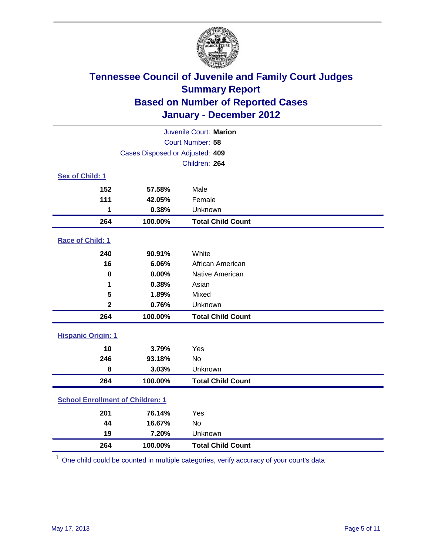

| Juvenile Court: Marion                  |                                 |                          |  |  |
|-----------------------------------------|---------------------------------|--------------------------|--|--|
| Court Number: 58                        |                                 |                          |  |  |
|                                         | Cases Disposed or Adjusted: 409 |                          |  |  |
|                                         |                                 | Children: 264            |  |  |
| Sex of Child: 1                         |                                 |                          |  |  |
| 152                                     | 57.58%                          | Male                     |  |  |
| 111                                     | 42.05%                          | Female                   |  |  |
| 1                                       | 0.38%                           | Unknown                  |  |  |
| 264                                     | 100.00%                         | <b>Total Child Count</b> |  |  |
| Race of Child: 1                        |                                 |                          |  |  |
| 240                                     | 90.91%                          | White                    |  |  |
| 16                                      | 6.06%                           | African American         |  |  |
| $\mathbf 0$                             | 0.00%                           | Native American          |  |  |
| 1                                       | 0.38%                           | Asian                    |  |  |
| 5                                       | 1.89%                           | Mixed                    |  |  |
| $\overline{\mathbf{2}}$                 | 0.76%                           | Unknown                  |  |  |
| 264                                     | 100.00%                         | <b>Total Child Count</b> |  |  |
| <b>Hispanic Origin: 1</b>               |                                 |                          |  |  |
| 10                                      | 3.79%                           | Yes                      |  |  |
| 246                                     | 93.18%                          | No                       |  |  |
| 8                                       | 3.03%                           | Unknown                  |  |  |
| 264                                     | 100.00%                         | <b>Total Child Count</b> |  |  |
| <b>School Enrollment of Children: 1</b> |                                 |                          |  |  |
| 201                                     | 76.14%                          | Yes                      |  |  |
| 44                                      | 16.67%                          | <b>No</b>                |  |  |
| 19                                      | 7.20%                           | Unknown                  |  |  |
| 264                                     | 100.00%                         | <b>Total Child Count</b> |  |  |

One child could be counted in multiple categories, verify accuracy of your court's data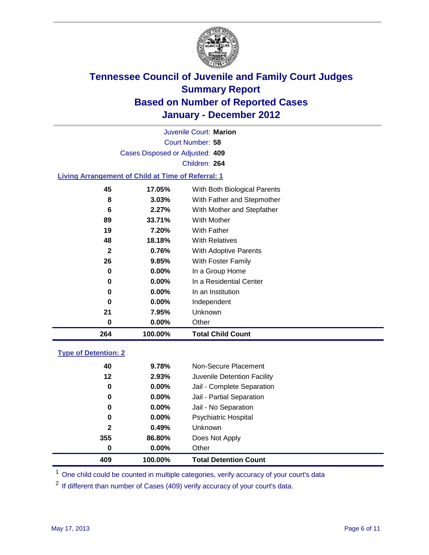

Court Number: **58** Juvenile Court: **Marion** Cases Disposed or Adjusted: **409** Children: **264**

#### **Living Arrangement of Child at Time of Referral: 1**

| 264 | 100.00%  | <b>Total Child Count</b>     |
|-----|----------|------------------------------|
| 0   | $0.00\%$ | Other                        |
| 21  | 7.95%    | <b>Unknown</b>               |
| 0   | $0.00\%$ | Independent                  |
| 0   | $0.00\%$ | In an Institution            |
| 0   | $0.00\%$ | In a Residential Center      |
| 0   | $0.00\%$ | In a Group Home              |
| 26  | 9.85%    | With Foster Family           |
| 2   | 0.76%    | With Adoptive Parents        |
| 48  | 18.18%   | <b>With Relatives</b>        |
| 19  | 7.20%    | With Father                  |
| 89  | 33.71%   | With Mother                  |
| 6   | 2.27%    | With Mother and Stepfather   |
| 8   | 3.03%    | With Father and Stepmother   |
| 45  | 17.05%   | With Both Biological Parents |
|     |          |                              |

#### **Type of Detention: 2**

| 409              | 100.00%  | <b>Total Detention Count</b> |  |
|------------------|----------|------------------------------|--|
| $\boldsymbol{0}$ | 0.00%    | Other                        |  |
| 355              | 86.80%   | Does Not Apply               |  |
| $\mathbf{2}$     | 0.49%    | Unknown                      |  |
| 0                | $0.00\%$ | Psychiatric Hospital         |  |
| 0                | 0.00%    | Jail - No Separation         |  |
| 0                | $0.00\%$ | Jail - Partial Separation    |  |
| 0                | $0.00\%$ | Jail - Complete Separation   |  |
| 12               | 2.93%    | Juvenile Detention Facility  |  |
| 40               | 9.78%    | Non-Secure Placement         |  |
|                  |          |                              |  |

<sup>1</sup> One child could be counted in multiple categories, verify accuracy of your court's data

<sup>2</sup> If different than number of Cases (409) verify accuracy of your court's data.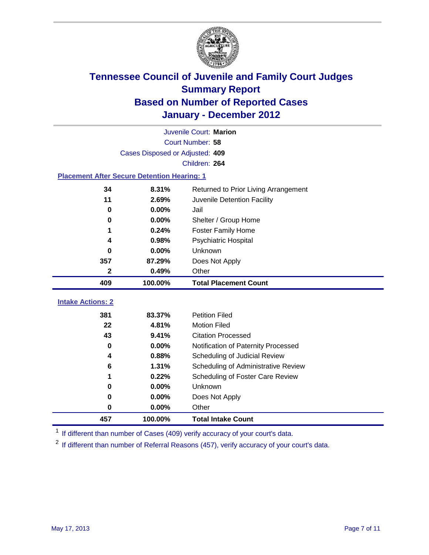

|                                                    |         | Juvenile Court: Marion               |  |  |
|----------------------------------------------------|---------|--------------------------------------|--|--|
| Court Number: 58                                   |         |                                      |  |  |
| Cases Disposed or Adjusted: 409                    |         |                                      |  |  |
|                                                    |         | Children: 264                        |  |  |
| <b>Placement After Secure Detention Hearing: 1</b> |         |                                      |  |  |
| 34                                                 | 8.31%   | Returned to Prior Living Arrangement |  |  |
| 11                                                 | 2.69%   | Juvenile Detention Facility          |  |  |
| $\bf{0}$                                           | 0.00%   | Jail                                 |  |  |
| $\bf{0}$                                           | 0.00%   | Shelter / Group Home                 |  |  |
| 1                                                  | 0.24%   | <b>Foster Family Home</b>            |  |  |
| 4                                                  | 0.98%   | Psychiatric Hospital                 |  |  |
| 0                                                  | 0.00%   | Unknown                              |  |  |
| 357                                                | 87.29%  | Does Not Apply                       |  |  |
| $\mathbf{2}$                                       | 0.49%   | Other                                |  |  |
| 409                                                | 100.00% | <b>Total Placement Count</b>         |  |  |
|                                                    |         |                                      |  |  |
| <b>Intake Actions: 2</b>                           |         |                                      |  |  |
| 381                                                | 83.37%  | <b>Petition Filed</b>                |  |  |
| 22                                                 | 4.81%   | <b>Motion Filed</b>                  |  |  |
| 43                                                 | 9.41%   | <b>Citation Processed</b>            |  |  |
| $\bf{0}$                                           | 0.00%   | Notification of Paternity Processed  |  |  |
| 4                                                  | 0.88%   | Scheduling of Judicial Review        |  |  |
| 6                                                  | 1.31%   | Scheduling of Administrative Review  |  |  |
| 1                                                  | 0.22%   | Scheduling of Foster Care Review     |  |  |
| $\bf{0}$                                           | 0.00%   | Unknown                              |  |  |
| 0                                                  | 0.00%   | Does Not Apply                       |  |  |
| 0                                                  | 0.00%   | Other                                |  |  |
| 457                                                | 100.00% | <b>Total Intake Count</b>            |  |  |

<sup>1</sup> If different than number of Cases (409) verify accuracy of your court's data.

<sup>2</sup> If different than number of Referral Reasons (457), verify accuracy of your court's data.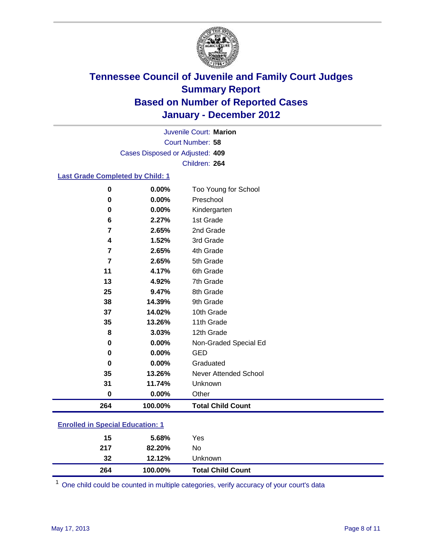

Court Number: **58** Juvenile Court: **Marion** Cases Disposed or Adjusted: **409** Children: **264**

#### **Last Grade Completed by Child: 1**

| 264    | 100.00%        | <b>Total Child Count</b>          |  |
|--------|----------------|-----------------------------------|--|
| 0      | 0.00%          | Other                             |  |
| 31     | 11.74%         | Unknown                           |  |
| 35     | 13.26%         | Never Attended School             |  |
| 0      | 0.00%          | Graduated                         |  |
| 0      | 0.00%          | <b>GED</b>                        |  |
| 0      | 0.00%          | Non-Graded Special Ed             |  |
| 8      | 3.03%          | 12th Grade                        |  |
| 35     | 13.26%         | 11th Grade                        |  |
| 37     | 14.02%         | 10th Grade                        |  |
| 38     | 14.39%         | 9th Grade                         |  |
| 25     | 9.47%          | 8th Grade                         |  |
| 13     | 4.92%          | 7th Grade                         |  |
| 11     | 4.17%          | 6th Grade                         |  |
| 7      | 2.65%          | 5th Grade                         |  |
| 7      | 2.65%          | 4th Grade                         |  |
| 4      | 1.52%          | 3rd Grade                         |  |
| 7      | 2.65%          | 2nd Grade                         |  |
| 6      | 2.27%          | 1st Grade                         |  |
| 0      | 0.00%          | Kindergarten                      |  |
| 0<br>0 | 0.00%<br>0.00% | Too Young for School<br>Preschool |  |

| 264 | 100.00% | <b>Total Child Count</b> |  |
|-----|---------|--------------------------|--|
| 32  | 12.12%  | <b>Unknown</b>           |  |
| 217 | 82.20%  | No                       |  |
| 15  | 5.68%   | Yes                      |  |
|     |         |                          |  |

One child could be counted in multiple categories, verify accuracy of your court's data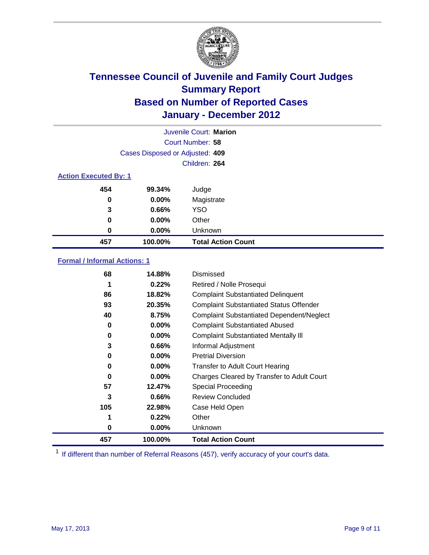

|                              |                                 | Juvenile Court: Marion    |
|------------------------------|---------------------------------|---------------------------|
|                              |                                 | Court Number: 58          |
|                              | Cases Disposed or Adjusted: 409 |                           |
|                              |                                 | Children: 264             |
| <b>Action Executed By: 1</b> |                                 |                           |
| 454                          | 99.34%                          | Judge                     |
| 0                            | $0.00\%$                        | Magistrate                |
| 3                            | 0.66%                           | <b>YSO</b>                |
| 0                            | 0.00%                           | Other                     |
| 0                            | 0.00%                           | Unknown                   |
| 457                          | 100.00%                         | <b>Total Action Count</b> |

### **Formal / Informal Actions: 1**

| 68  | 14.88%   | Dismissed                                        |
|-----|----------|--------------------------------------------------|
|     | 0.22%    | Retired / Nolle Prosequi                         |
| 86  | 18.82%   | <b>Complaint Substantiated Delinquent</b>        |
| 93  | 20.35%   | <b>Complaint Substantiated Status Offender</b>   |
| 40  | 8.75%    | <b>Complaint Substantiated Dependent/Neglect</b> |
| 0   | 0.00%    | <b>Complaint Substantiated Abused</b>            |
| 0   | $0.00\%$ | <b>Complaint Substantiated Mentally III</b>      |
| 3   | 0.66%    | Informal Adjustment                              |
| 0   | $0.00\%$ | <b>Pretrial Diversion</b>                        |
| 0   | $0.00\%$ | <b>Transfer to Adult Court Hearing</b>           |
| 0   | 0.00%    | Charges Cleared by Transfer to Adult Court       |
| 57  | 12.47%   | <b>Special Proceeding</b>                        |
| 3   | 0.66%    | <b>Review Concluded</b>                          |
| 105 | 22.98%   | Case Held Open                                   |
|     | 0.22%    | Other                                            |
| 0   | $0.00\%$ | <b>Unknown</b>                                   |
| 457 | 100.00%  | <b>Total Action Count</b>                        |

<sup>1</sup> If different than number of Referral Reasons (457), verify accuracy of your court's data.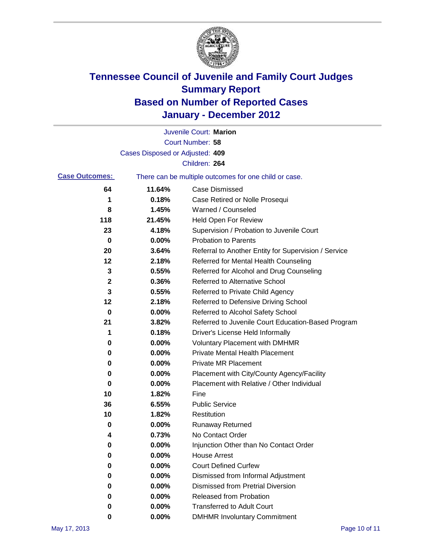

|                       |                                 | Juvenile Court: Marion                                |
|-----------------------|---------------------------------|-------------------------------------------------------|
|                       |                                 | Court Number: 58                                      |
|                       | Cases Disposed or Adjusted: 409 |                                                       |
|                       |                                 | Children: 264                                         |
| <b>Case Outcomes:</b> |                                 | There can be multiple outcomes for one child or case. |
| 64                    | 11.64%                          | <b>Case Dismissed</b>                                 |
| 1                     | 0.18%                           | Case Retired or Nolle Prosequi                        |
| 8                     | 1.45%                           | Warned / Counseled                                    |
| 118                   | 21.45%                          | <b>Held Open For Review</b>                           |
| 23                    | 4.18%                           | Supervision / Probation to Juvenile Court             |
| 0                     | 0.00%                           | <b>Probation to Parents</b>                           |
| 20                    | 3.64%                           | Referral to Another Entity for Supervision / Service  |
| 12                    | 2.18%                           | Referred for Mental Health Counseling                 |
| 3                     | 0.55%                           | Referred for Alcohol and Drug Counseling              |
| 2                     | 0.36%                           | <b>Referred to Alternative School</b>                 |
| 3                     | 0.55%                           | Referred to Private Child Agency                      |
| 12                    | 2.18%                           | Referred to Defensive Driving School                  |
| 0                     | 0.00%                           | Referred to Alcohol Safety School                     |
| 21                    | 3.82%                           | Referred to Juvenile Court Education-Based Program    |
| 1                     | 0.18%                           | Driver's License Held Informally                      |
| 0                     | 0.00%                           | <b>Voluntary Placement with DMHMR</b>                 |
| 0                     | 0.00%                           | <b>Private Mental Health Placement</b>                |
| 0                     | 0.00%                           | <b>Private MR Placement</b>                           |
| 0                     | 0.00%                           | Placement with City/County Agency/Facility            |
| 0                     | 0.00%                           | Placement with Relative / Other Individual            |
| 10                    | 1.82%                           | Fine                                                  |
| 36                    | 6.55%                           | <b>Public Service</b>                                 |
| 10                    | 1.82%                           | Restitution                                           |
| 0                     | 0.00%                           | <b>Runaway Returned</b>                               |
| 4                     | 0.73%                           | No Contact Order                                      |
| 0                     | 0.00%                           | Injunction Other than No Contact Order                |
| 0                     | 0.00%                           | <b>House Arrest</b>                                   |
| 0                     | 0.00%                           | <b>Court Defined Curfew</b>                           |
| 0                     | 0.00%                           | Dismissed from Informal Adjustment                    |
| 0                     | 0.00%                           | <b>Dismissed from Pretrial Diversion</b>              |
| 0                     | 0.00%                           | Released from Probation                               |
| 0                     | 0.00%                           | <b>Transferred to Adult Court</b>                     |
| 0                     | 0.00%                           | <b>DMHMR Involuntary Commitment</b>                   |